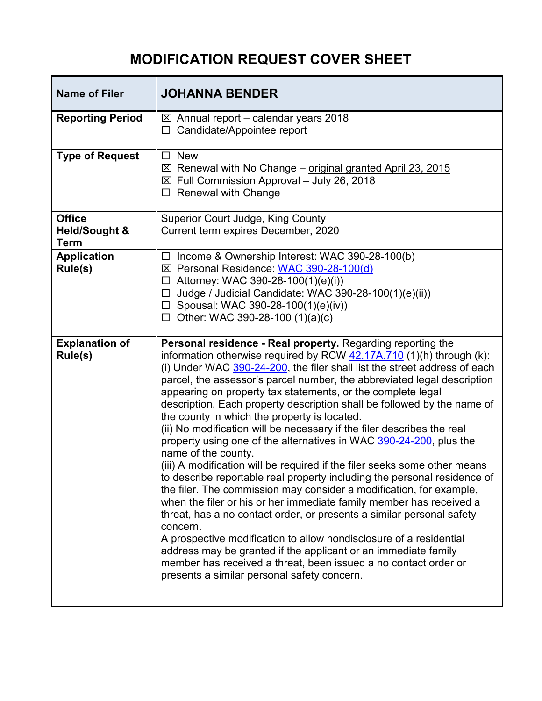## **MODIFICATION REQUEST COVER SHEET**

| <b>Name of Filer</b>                                     | <b>JOHANNA BENDER</b>                                                                                                                                                                                                                                                                                                                                                                                                                                                                                                                                                                                                                                                                                                                                                                                                                                                                                                                                                                                                                                                                                                                                                                                                                                                                                              |
|----------------------------------------------------------|--------------------------------------------------------------------------------------------------------------------------------------------------------------------------------------------------------------------------------------------------------------------------------------------------------------------------------------------------------------------------------------------------------------------------------------------------------------------------------------------------------------------------------------------------------------------------------------------------------------------------------------------------------------------------------------------------------------------------------------------------------------------------------------------------------------------------------------------------------------------------------------------------------------------------------------------------------------------------------------------------------------------------------------------------------------------------------------------------------------------------------------------------------------------------------------------------------------------------------------------------------------------------------------------------------------------|
| <b>Reporting Period</b>                                  | $\boxtimes$ Annual report – calendar years 2018<br>Candidate/Appointee report<br>□                                                                                                                                                                                                                                                                                                                                                                                                                                                                                                                                                                                                                                                                                                                                                                                                                                                                                                                                                                                                                                                                                                                                                                                                                                 |
| <b>Type of Request</b>                                   | <b>New</b><br>□<br>$\boxtimes$ Renewal with No Change – original granted April 23, 2015<br>⊠ Full Commission Approval - July 26, 2018<br><b>Renewal with Change</b><br>□                                                                                                                                                                                                                                                                                                                                                                                                                                                                                                                                                                                                                                                                                                                                                                                                                                                                                                                                                                                                                                                                                                                                           |
| <b>Office</b><br><b>Held/Sought &amp;</b><br><b>Term</b> | Superior Court Judge, King County<br>Current term expires December, 2020                                                                                                                                                                                                                                                                                                                                                                                                                                                                                                                                                                                                                                                                                                                                                                                                                                                                                                                                                                                                                                                                                                                                                                                                                                           |
| <b>Application</b><br>Rule(s)                            | Income & Ownership Interest: WAC 390-28-100(b)<br>□<br>⊠ Personal Residence: WAC 390-28-100(d)<br>Attorney: WAC 390-28-100(1)(e)(i))<br>□<br>Judge / Judicial Candidate: WAC 390-28-100(1)(e)(ii))<br>□<br>$\Box$ Spousal: WAC 390-28-100(1)(e)(iv))<br>Other: WAC 390-28-100 (1)(a)(c)<br>□                                                                                                                                                                                                                                                                                                                                                                                                                                                                                                                                                                                                                                                                                                                                                                                                                                                                                                                                                                                                                       |
| <b>Explanation of</b><br>Rule(s)                         | Personal residence - Real property. Regarding reporting the<br>information otherwise required by RCW 42.17A.710 (1)(h) through (k):<br>(i) Under WAC 390-24-200, the filer shall list the street address of each<br>parcel, the assessor's parcel number, the abbreviated legal description<br>appearing on property tax statements, or the complete legal<br>description. Each property description shall be followed by the name of<br>the county in which the property is located.<br>(ii) No modification will be necessary if the filer describes the real<br>property using one of the alternatives in WAC 390-24-200, plus the<br>name of the county.<br>(iii) A modification will be required if the filer seeks some other means<br>to describe reportable real property including the personal residence of<br>the filer. The commission may consider a modification, for example,<br>when the filer or his or her immediate family member has received a<br>threat, has a no contact order, or presents a similar personal safety<br>concern.<br>A prospective modification to allow nondisclosure of a residential<br>address may be granted if the applicant or an immediate family<br>member has received a threat, been issued a no contact order or<br>presents a similar personal safety concern. |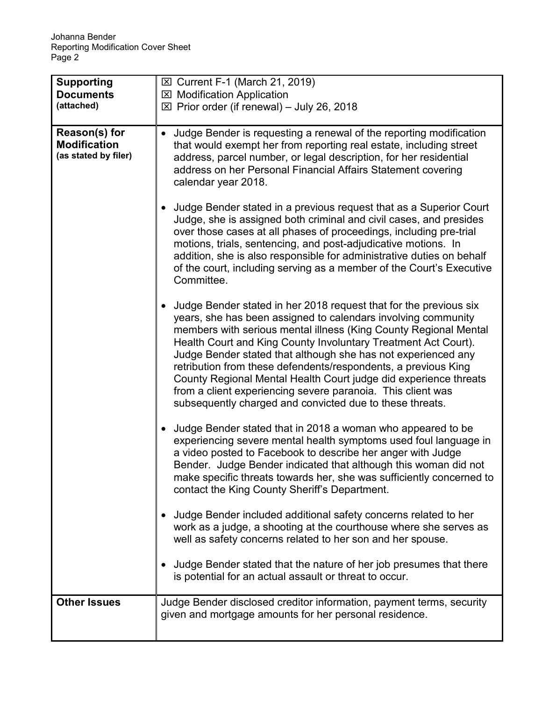| <b>Supporting</b><br><b>Documents</b>                        | ⊠ Current F-1 (March 21, 2019)<br><b>⊠ Modification Application</b>                                                                                                                                                                                                                                                                                                                                                                                                                                                                                                                                        |
|--------------------------------------------------------------|------------------------------------------------------------------------------------------------------------------------------------------------------------------------------------------------------------------------------------------------------------------------------------------------------------------------------------------------------------------------------------------------------------------------------------------------------------------------------------------------------------------------------------------------------------------------------------------------------------|
| (attached)                                                   | $\boxtimes$ Prior order (if renewal) – July 26, 2018                                                                                                                                                                                                                                                                                                                                                                                                                                                                                                                                                       |
| Reason(s) for<br><b>Modification</b><br>(as stated by filer) | Judge Bender is requesting a renewal of the reporting modification<br>$\bullet$<br>that would exempt her from reporting real estate, including street<br>address, parcel number, or legal description, for her residential<br>address on her Personal Financial Affairs Statement covering<br>calendar year 2018.                                                                                                                                                                                                                                                                                          |
|                                                              | Judge Bender stated in a previous request that as a Superior Court<br>Judge, she is assigned both criminal and civil cases, and presides<br>over those cases at all phases of proceedings, including pre-trial<br>motions, trials, sentencing, and post-adjudicative motions. In<br>addition, she is also responsible for administrative duties on behalf<br>of the court, including serving as a member of the Court's Executive<br>Committee.                                                                                                                                                            |
|                                                              | Judge Bender stated in her 2018 request that for the previous six<br>years, she has been assigned to calendars involving community<br>members with serious mental illness (King County Regional Mental<br>Health Court and King County Involuntary Treatment Act Court).<br>Judge Bender stated that although she has not experienced any<br>retribution from these defendents/respondents, a previous King<br>County Regional Mental Health Court judge did experience threats<br>from a client experiencing severe paranoia. This client was<br>subsequently charged and convicted due to these threats. |
|                                                              | Judge Bender stated that in 2018 a woman who appeared to be<br>experiencing severe mental health symptoms used foul language in<br>a video posted to Facebook to describe her anger with Judge<br>Bender. Judge Bender indicated that although this woman did not<br>make specific threats towards her, she was sufficiently concerned to<br>contact the King County Sheriff's Department.                                                                                                                                                                                                                 |
|                                                              | Judge Bender included additional safety concerns related to her<br>work as a judge, a shooting at the courthouse where she serves as<br>well as safety concerns related to her son and her spouse.                                                                                                                                                                                                                                                                                                                                                                                                         |
|                                                              | Judge Bender stated that the nature of her job presumes that there<br>is potential for an actual assault or threat to occur.                                                                                                                                                                                                                                                                                                                                                                                                                                                                               |
| <b>Other Issues</b>                                          | Judge Bender disclosed creditor information, payment terms, security<br>given and mortgage amounts for her personal residence.                                                                                                                                                                                                                                                                                                                                                                                                                                                                             |